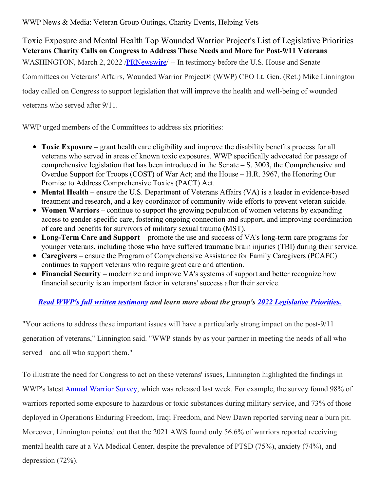WWP News & Media: Veteran Group Outings, Charity Events, Helping Vets

## Toxic Exposure and Mental Health Top Wounded Warrior Project's List of Legislative Priorities **Veterans Charity Calls on Congress to Address These Needs and More for Post-9/11 Veterans** WASHINGTON, March 2, 2022 [/PRNewswire](http://www.prnewswire.com/)/ -- In testimony before the U.S. House and Senate

Committees on Veterans' Affairs, Wounded Warrior Project® (WWP) CEO Lt. Gen. (Ret.) Mike Linnington

today called on Congress to support legislation that will improve the health and well-being of wounded

veterans who served after 9/11.

WWP urged members of the Committees to address six priorities:

- **Toxic Exposure** grant health care eligibility and improve the disability benefits process for all veterans who served in areas of known toxic exposures. WWP specifically advocated for passage of comprehensive legislation that has been introduced in the Senate – S. 3003, the Comprehensive and Overdue Support for Troops (COST) of War Act; and the House – H.R. 3967, the Honoring Our Promise to Address Comprehensive Toxics (PACT) Act.
- **Mental Health** ensure the U.S. Department of Veterans Affairs (VA) is a leader in evidence-based treatment and research, and a key coordinator of community-wide efforts to prevent veteran suicide.
- **Women Warriors** continue to support the growing population of women veterans by expanding access to gender-specific care, fostering ongoing connection and support, and improving coordination of care and benefits for survivors of military sexual trauma (MST).
- **Long-Term Care and Support** promote the use and success of VA's long-term care programs for younger veterans, including those who have suffered traumatic brain injuries (TBI) during their service.
- **Caregivers** ensure the Program of Comprehensive Assistance for Family Caregivers (PCAFC) continues to support veterans who require great care and attention.
- **Financial Security** modernize and improve VA's systems of support and better recognize how financial security is an important factor in veterans' success after their service.

## *Read WWP's full written [testimony](https://c212.net/c/link/?t=0&l=en&o=3461178-1&h=2677834209&u=https%3A%2F%2Fwww.woundedwarriorproject.org%2Fmedia%2F3pfenar4%2Fwounded-warrior-project-2022-legislative-priorities_statement-for-the-record_march-2-2022.pdf&a=Read+WWP%27s+full+written+testimony) and learn more about the group's 2022 [Legislative](https://c212.net/c/link/?t=0&l=en&o=3461178-1&h=2377938437&u=https%3A%2F%2Fwww.woundedwarriorproject.org%2Fprograms%2Fgovernment-affairs%2Flegislative-priorities&a=2022+Legislative+Priorities.) Priorities.*

"Your actions to address these important issues will have a particularly strong impact on the post-9/11 generation of veterans," Linnington said. "WWP stands by as your partner in meeting the needs of all who served – and all who support them."

To illustrate the need for Congress to act on these veterans' issues, Linnington highlighted the findings in WWP's latest **Annual [Warrior](https://c212.net/c/link/?t=0&l=en&o=3461178-1&h=1996055361&u=https%3A%2F%2Fwww.woundedwarriorproject.org%2Fmission%2Fannual-warrior-survey%3Futm_source%3Daws2021_media%26utm_medium%3Dreferral%26utm_campaign%3DAWS2021&a=Annual+Warrior+Survey) Survey**, which was released last week. For example, the survey found 98% of warriors reported some exposure to hazardous or toxic substances during military service, and 73% of those deployed in Operations Enduring Freedom, Iraqi Freedom, and New Dawn reported serving near a burn pit. Moreover, Linnington pointed out that the 2021 AWS found only 56.6% of warriors reported receiving mental health care at a VA Medical Center, despite the prevalence of PTSD (75%), anxiety (74%), and depression (72%).